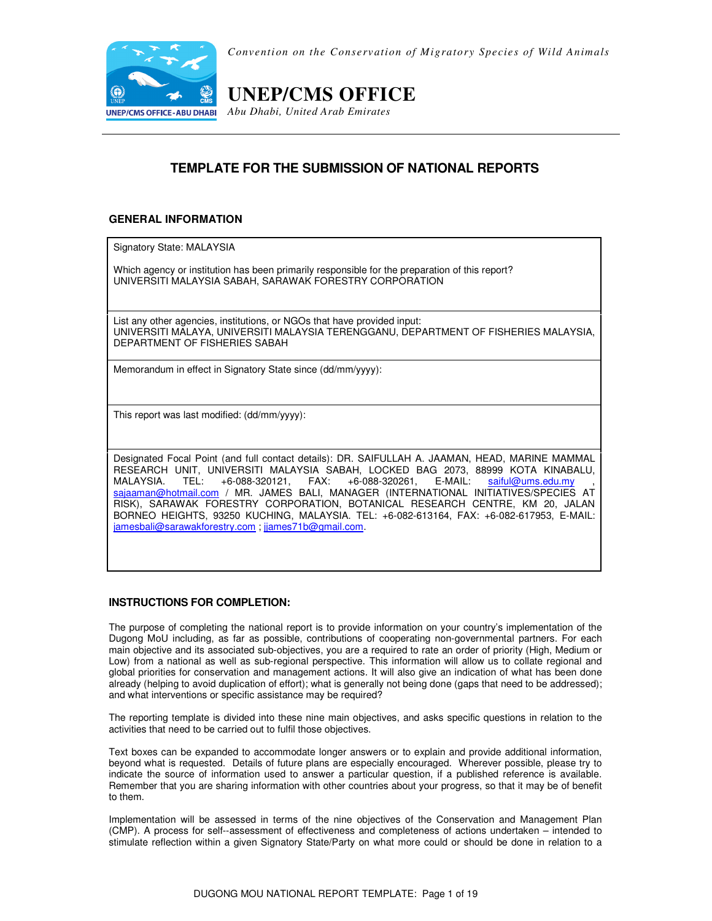

*Convention on the Conservation of Migratory Species of Wild Animals* 

# **UNEP/CMS OFFICE**

*Abu Dhabi, United Arab Emirates*

## **TEMPLATE FOR THE SUBMISSION OF NATIONAL REPORTS**

### **GENERAL INFORMATION**

Signatory State: MALAYSIA

Which agency or institution has been primarily responsible for the preparation of this report? UNIVERSITI MALAYSIA SABAH, SARAWAK FORESTRY CORPORATION

List any other agencies, institutions, or NGOs that have provided input: UNIVERSITI MALAYA, UNIVERSITI MALAYSIA TERENGGANU, DEPARTMENT OF FISHERIES MALAYSIA, DEPARTMENT OF FISHERIES SABAH

Memorandum in effect in Signatory State since (dd/mm/yyyy):

This report was last modified: (dd/mm/yyyy):

Designated Focal Point (and full contact details): DR. SAIFULLAH A. JAAMAN, HEAD, MARINE MAMMAL RESEARCH UNIT, UNIVERSITI MALAYSIA SABAH, LOCKED BAG 2073, 88999 KOTA KINABALU, MALAYSIA. TEL: +6-088-320121, FAX: +6-088-320261, E-MAIL: saiful@ums.edu.my , sajaaman@hotmail.com / MR. JAMES BALI, MANAGER (INTERNATIONAL INITIATIVES/SPECIES AT RISK), SARAWAK FORESTRY CORPORATION, BOTANICAL RESEARCH CENTRE, KM 20, JALAN BORNEO HEIGHTS, 93250 KUCHING, MALAYSIA. TEL: +6-082-613164, FAX: +6-082-617953, E-MAIL: jamesbali@sarawakforestry.com ; jjames71b@gmail.com.

### **INSTRUCTIONS FOR COMPLETION:**

The purpose of completing the national report is to provide information on your country's implementation of the Dugong MoU including, as far as possible, contributions of cooperating non-governmental partners. For each main objective and its associated sub-objectives, you are a required to rate an order of priority (High, Medium or Low) from a national as well as sub-regional perspective. This information will allow us to collate regional and global priorities for conservation and management actions. It will also give an indication of what has been done already (helping to avoid duplication of effort); what is generally not being done (gaps that need to be addressed); and what interventions or specific assistance may be required?

The reporting template is divided into these nine main objectives, and asks specific questions in relation to the activities that need to be carried out to fulfil those objectives.

Text boxes can be expanded to accommodate longer answers or to explain and provide additional information, beyond what is requested. Details of future plans are especially encouraged. Wherever possible, please try to indicate the source of information used to answer a particular question, if a published reference is available. Remember that you are sharing information with other countries about your progress, so that it may be of benefit to them.

Implementation will be assessed in terms of the nine objectives of the Conservation and Management Plan (CMP). A process for self--assessment of effectiveness and completeness of actions undertaken – intended to stimulate reflection within a given Signatory State/Party on what more could or should be done in relation to a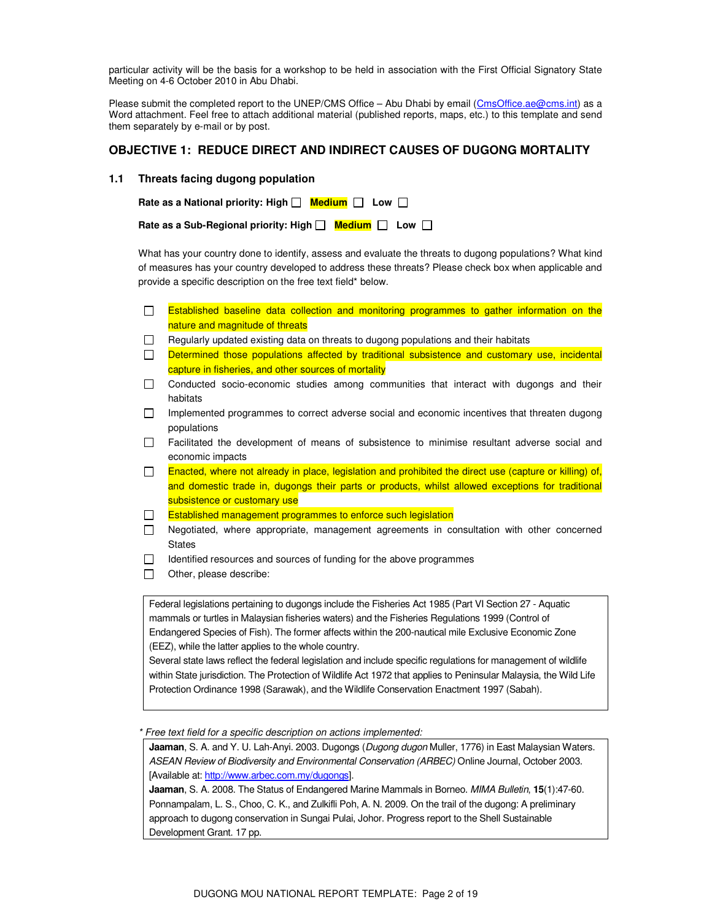particular activity will be the basis for a workshop to be held in association with the First Official Signatory State Meeting on 4-6 October 2010 in Abu Dhabi.

Please submit the completed report to the UNEP/CMS Office – Abu Dhabi by email (CmsOffice.ae@cms.int) as a Word attachment. Feel free to attach additional material (published reports, maps, etc.) to this template and send them separately by e-mail or by post.

### **OBJECTIVE 1: REDUCE DIRECT AND INDIRECT CAUSES OF DUGONG MORTALITY**

#### **1.1 Threats facing dugong population**

| Rate as a National priority: High $\Box$ Medium $\Box$ Low $\Box$ |  |  |
|-------------------------------------------------------------------|--|--|
|                                                                   |  |  |

| Rate as a Sub-Regional priority: High Nedium Null Low Null Bate as a Sub-Regional priority: High Null |  |  |  |  |
|-------------------------------------------------------------------------------------------------------|--|--|--|--|
|-------------------------------------------------------------------------------------------------------|--|--|--|--|

What has your country done to identify, assess and evaluate the threats to dugong populations? What kind of measures has your country developed to address these threats? Please check box when applicable and provide a specific description on the free text field\* below.

- $\Box$  Established baseline data collection and monitoring programmes to gather information on the nature and magnitude of threats
- $\Box$  Regularly updated existing data on threats to dugong populations and their habitats
- $\Box$  Determined those populations affected by traditional subsistence and customary use, incidental capture in fisheries, and other sources of mortality
- Conducted socio-economic studies among communities that interact with dugongs and their habitats
- $\Box$  Implemented programmes to correct adverse social and economic incentives that threaten dugong populations
- Facilitated the development of means of subsistence to minimise resultant adverse social and economic impacts
- $\Box$  Enacted, where not already in place, legislation and prohibited the direct use (capture or killing) of, and domestic trade in, dugongs their parts or products, whilst allowed exceptions for traditional subsistence or customary use
- $\Box$ Established management programmes to enforce such legislation
- Negotiated, where appropriate, management agreements in consultation with other concerned **States**
- $\Box$  Identified resources and sources of funding for the above programmes
- $\Box$  Other, please describe:

Federal legislations pertaining to dugongs include the Fisheries Act 1985 (Part VI Section 27 - Aquatic mammals or turtles in Malaysian fisheries waters) and the Fisheries Regulations 1999 (Control of Endangered Species of Fish). The former affects within the 200-nautical mile Exclusive Economic Zone (EEZ), while the latter applies to the whole country.

Several state laws reflect the federal legislation and include specific regulations for management of wildlife within State jurisdiction. The Protection of Wildlife Act 1972 that applies to Peninsular Malaysia, the Wild Life Protection Ordinance 1998 (Sarawak), and the Wildlife Conservation Enactment 1997 (Sabah).

Free text field for a specific description on actions implemented:

**Jaaman**, S. A. and Y. U. Lah-Anyi. 2003. Dugongs (Dugong dugon Muller, 1776) in East Malaysian Waters. ASEAN Review of Biodiversity and Environmental Conservation (ARBEC) Online Journal, October 2003. [Available at: http://www.arbec.com.my/dugongs].

**Jaaman**, S. A. 2008. The Status of Endangered Marine Mammals in Borneo. MIMA Bulletin, **15**(1):47-60. Ponnampalam, L. S., Choo, C. K., and Zulkifli Poh, A. N. 2009. On the trail of the dugong: A preliminary approach to dugong conservation in Sungai Pulai, Johor. Progress report to the Shell Sustainable Development Grant. 17 pp.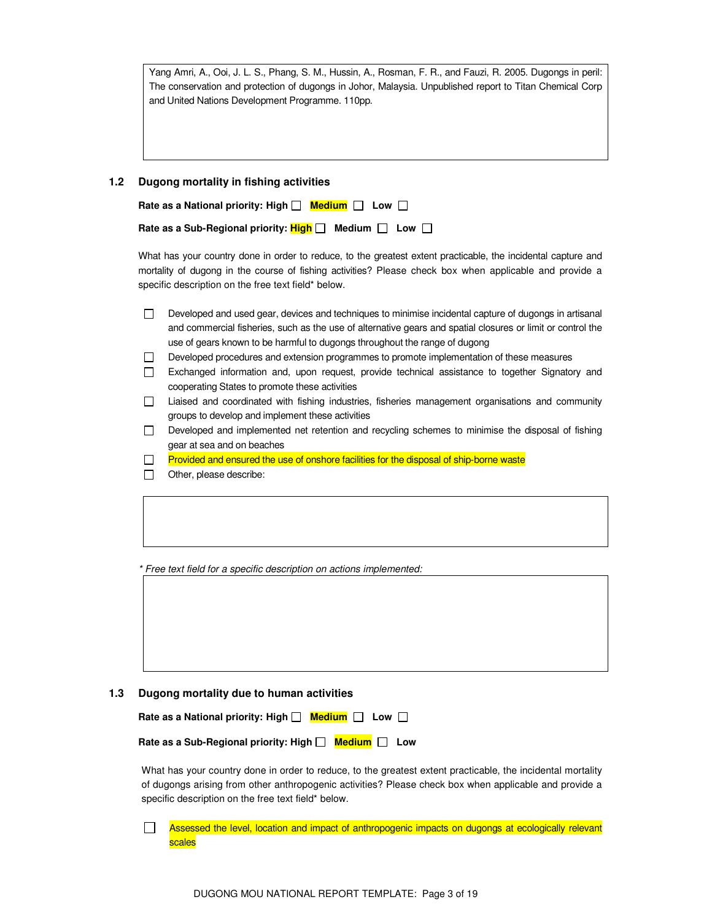Yang Amri, A., Ooi, J. L. S., Phang, S. M., Hussin, A., Rosman, F. R., and Fauzi, R. 2005. Dugongs in peril: The conservation and protection of dugongs in Johor, Malaysia. Unpublished report to Titan Chemical Corp and United Nations Development Programme. 110pp.

#### **1.2 Dugong mortality in fishing activities**

| Rate as a National priority: High $\Box$ Medium $\Box$ Low $\Box$ |  |
|-------------------------------------------------------------------|--|
|                                                                   |  |

| Rate as a Sub-Regional priority: <b>High</b> $\square$ Medium $\square$ Low $\square$ |  |  |  |
|---------------------------------------------------------------------------------------|--|--|--|
|---------------------------------------------------------------------------------------|--|--|--|

What has your country done in order to reduce, to the greatest extent practicable, the incidental capture and mortality of dugong in the course of fishing activities? Please check box when applicable and provide a specific description on the free text field\* below.

| Developed and used gear, devices and techniques to minimise incidental capture of dugongs in artisanal      |
|-------------------------------------------------------------------------------------------------------------|
| and commercial fisheries, such as the use of alternative gears and spatial closures or limit or control the |
| use of gears known to be harmful to dugongs throughout the range of dugong                                  |

- Developed procedures and extension programmes to promote implementation of these measures
- Exchanged information and, upon request, provide technical assistance to together Signatory and cooperating States to promote these activities
- Liaised and coordinated with fishing industries, fisheries management organisations and community groups to develop and implement these activities
- Developed and implemented net retention and recycling schemes to minimise the disposal of fishing gear at sea and on beaches
- $\Box$  Provided and ensured the use of onshore facilities for the disposal of ship-borne waste
- $\Box$  Other, please describe:

\* Free text field for a specific description on actions implemented:

#### **1.3 Dugong mortality due to human activities**

| Rate as a National priority: High $\Box$ Medium $\Box$ Low $\Box$ |  |
|-------------------------------------------------------------------|--|
|                                                                   |  |

Rate as a Sub-Regional priority: High  $\Box$  Medium  $\Box$  Low

What has your country done in order to reduce, to the greatest extent practicable, the incidental mortality of dugongs arising from other anthropogenic activities? Please check box when applicable and provide a specific description on the free text field\* below.

 $\perp$ Assessed the level, location and impact of anthropogenic impacts on dugongs at ecologically relevant scales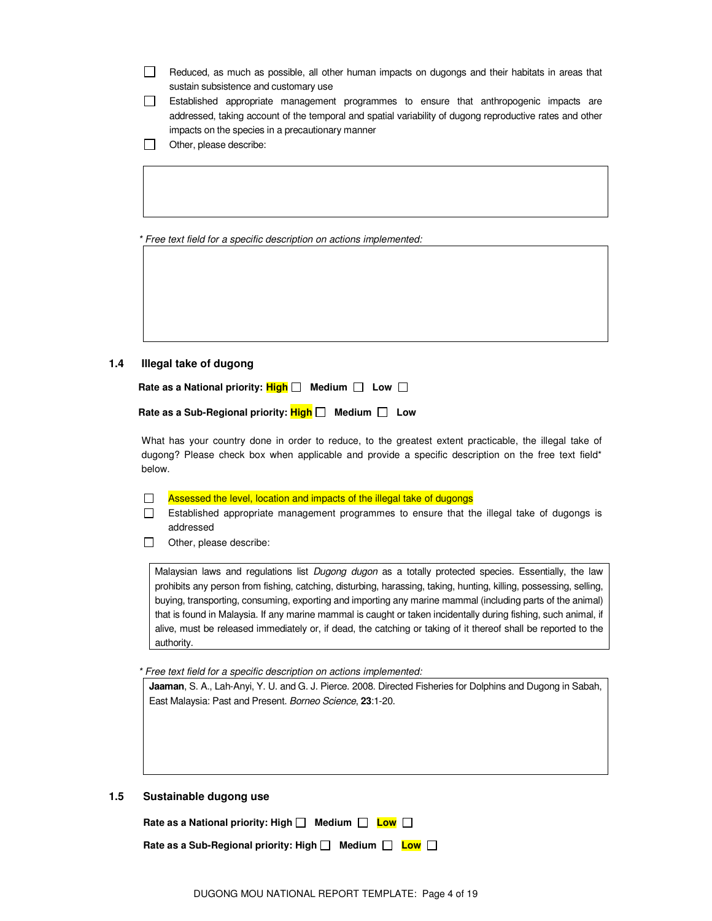- $\Box$ Reduced, as much as possible, all other human impacts on dugongs and their habitats in areas that sustain subsistence and customary use
- Established appropriate management programmes to ensure that anthropogenic impacts are addressed, taking account of the temporal and spatial variability of dugong reproductive rates and other impacts on the species in a precautionary manner
- Other, please describe:

\* Free text field for a specific description on actions implemented:

**1.4 Illegal take of dugong** 

Rate as a National priority:  $\frac{\text{High}}{\text{high}}$  Medium  $\Box$  Low  $\Box$ 

| Rate as a Sub-Regional priority: $High \Box$ Medium $\Box$ Low |  |  |  |
|----------------------------------------------------------------|--|--|--|
|----------------------------------------------------------------|--|--|--|

 What has your country done in order to reduce, to the greatest extent practicable, the illegal take of dugong? Please check box when applicable and provide a specific description on the free text field\* below.

 $\Box$  Assessed the level, location and impacts of the illegal take of dugongs

 Established appropriate management programmes to ensure that the illegal take of dugongs is addressed

Other, please describe:

Malaysian laws and regulations list Dugong dugon as a totally protected species. Essentially, the law prohibits any person from fishing, catching, disturbing, harassing, taking, hunting, killing, possessing, selling, buying, transporting, consuming, exporting and importing any marine mammal (including parts of the animal) that is found in Malaysia. If any marine mammal is caught or taken incidentally during fishing, such animal, if alive, must be released immediately or, if dead, the catching or taking of it thereof shall be reported to the authority.

\* Free text field for a specific description on actions implemented:

**Jaaman**, S. A., Lah-Anyi, Y. U. and G. J. Pierce. 2008. Directed Fisheries for Dolphins and Dugong in Sabah, East Malaysia: Past and Present. Borneo Science, **23**:1-20.

### **1.5 Sustainable dugong use**

| Rate as a National priority: High $\Box$ Medium $\Box$ Low $\Box$     |  |  |  |
|-----------------------------------------------------------------------|--|--|--|
| Rate as a Sub-Regional priority: High $\Box$ Medium $\Box$ Low $\Box$ |  |  |  |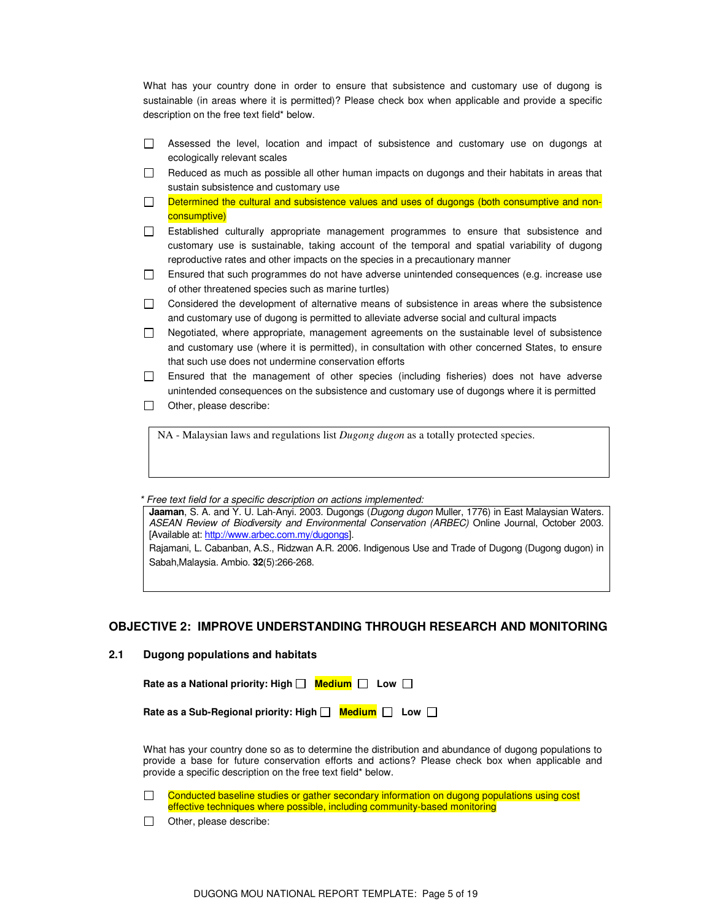What has your country done in order to ensure that subsistence and customary use of dugong is sustainable (in areas where it is permitted)? Please check box when applicable and provide a specific description on the free text field\* below.

- $\Box$  Assessed the level, location and impact of subsistence and customary use on dugongs at ecologically relevant scales
- $\Box$  Reduced as much as possible all other human impacts on dugongs and their habitats in areas that sustain subsistence and customary use
- Determined the cultural and subsistence values and uses of dugongs (both consumptive and non- $\Box$ consumptive)
- Established culturally appropriate management programmes to ensure that subsistence and customary use is sustainable, taking account of the temporal and spatial variability of dugong reproductive rates and other impacts on the species in a precautionary manner
- Ensured that such programmes do not have adverse unintended consequences (e.g. increase use of other threatened species such as marine turtles)
- $\Box$  Considered the development of alternative means of subsistence in areas where the subsistence and customary use of dugong is permitted to alleviate adverse social and cultural impacts
- $\Box$  Negotiated, where appropriate, management agreements on the sustainable level of subsistence and customary use (where it is permitted), in consultation with other concerned States, to ensure that such use does not undermine conservation efforts
- Ensured that the management of other species (including fisheries) does not have adverse unintended consequences on the subsistence and customary use of dugongs where it is permitted
- $\Box$  Other, please describe:

NA - Malaysian laws and regulations list *Dugong dugon* as a totally protected species.

\* Free text field for a specific description on actions implemented:

**Jaaman**, S. A. and Y. U. Lah-Anyi. 2003. Dugongs (Dugong dugon Muller, 1776) in East Malaysian Waters. ASEAN Review of Biodiversity and Environmental Conservation (ARBEC) Online Journal, October 2003. [Available at: http://www.arbec.com.my/dugongs].

Rajamani, L. Cabanban, A.S., Ridzwan A.R. 2006. Indigenous Use and Trade of Dugong (Dugong dugon) in Sabah,Malaysia. Ambio. **32**(5):266-268.

### **OBJECTIVE 2: IMPROVE UNDERSTANDING THROUGH RESEARCH AND MONITORING**

#### **2.1 Dugong populations and habitats**

| Rate as a National priority: High □ Medium □ Low □ |  |  |
|----------------------------------------------------|--|--|
|----------------------------------------------------|--|--|

| Rate as a Sub-Regional priority: High $\Box$ Medium $\Box$ Low $\Box$ |  |  |  |
|-----------------------------------------------------------------------|--|--|--|
|-----------------------------------------------------------------------|--|--|--|

 What has your country done so as to determine the distribution and abundance of dugong populations to provide a base for future conservation efforts and actions? Please check box when applicable and provide a specific description on the free text field\* below.

Conducted baseline studies or gather secondary information on dugong populations using cost  $\Box$ effective techniques where possible, including community-based monitoring

 $\Box$  Other, please describe: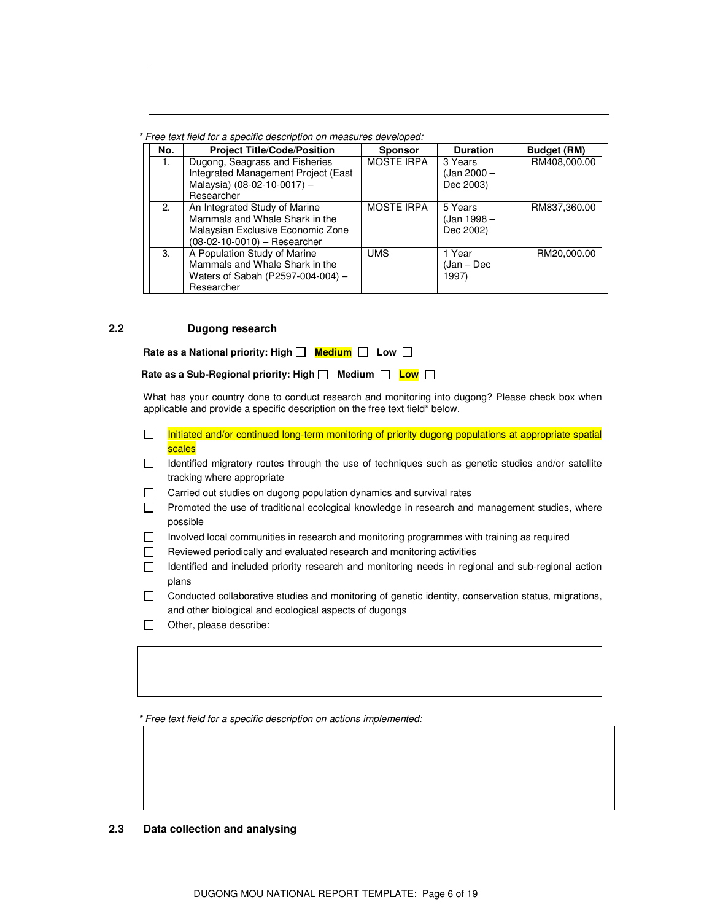\* Free text field for a specific description on measures developed:

| No. | <b>Project Title/Code/Position</b>  | <b>Sponsor</b>    | <b>Duration</b> | <b>Budget (RM)</b> |
|-----|-------------------------------------|-------------------|-----------------|--------------------|
| 1.  | Dugong, Seagrass and Fisheries      | <b>MOSTE IRPA</b> | 3 Years         | RM408,000.00       |
|     | Integrated Management Project (East |                   | (Jan 2000 –     |                    |
|     | Malaysia) (08-02-10-0017) -         |                   | Dec 2003)       |                    |
|     | Researcher                          |                   |                 |                    |
| 2.  | An Integrated Study of Marine       | <b>MOSTE IRPA</b> | 5 Years         | RM837.360.00       |
|     | Mammals and Whale Shark in the      |                   | (Jan 1998 –     |                    |
|     | Malaysian Exclusive Economic Zone   |                   | Dec 2002)       |                    |
|     | (08-02-10-0010) - Researcher        |                   |                 |                    |
| 3.  | A Population Study of Marine        | <b>UMS</b>        | 1 Year          | RM20,000.00        |
|     | Mammals and Whale Shark in the      |                   | (Jan – Dec      |                    |
|     | Waters of Sabah (P2597-004-004) -   |                   | 1997)           |                    |
|     | Researcher                          |                   |                 |                    |

### **2.2 Dugong research**

| Rate as a National priority: High $\Box$ Medium $\Box$ Low $\Box$ |  |  |
|-------------------------------------------------------------------|--|--|
|-------------------------------------------------------------------|--|--|

 What has your country done to conduct research and monitoring into dugong? Please check box when applicable and provide a specific description on the free text field\* below.

- Initiated and/or continued long-term monitoring of priority dugong populations at appropriate spatial  $\Box$ scales
- Identified migratory routes through the use of techniques such as genetic studies and/or satellite tracking where appropriate
- □ Carried out studies on dugong population dynamics and survival rates
- Promoted the use of traditional ecological knowledge in research and management studies, where possible
- Involved local communities in research and monitoring programmes with training as required
- $\Box$  Reviewed periodically and evaluated research and monitoring activities
- Identified and included priority research and monitoring needs in regional and sub-regional action plans
- Conducted collaborative studies and monitoring of genetic identity, conservation status, migrations, and other biological and ecological aspects of dugongs
- $\Box$  Other, please describe:

\* Free text field for a specific description on actions implemented:

### **2.3 Data collection and analysing**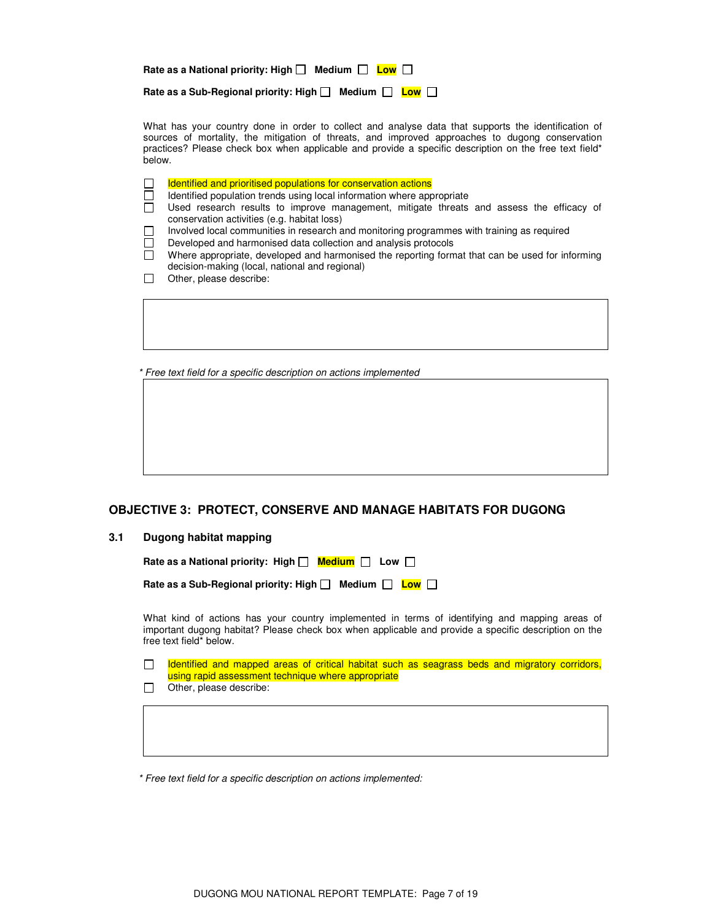| Rate as a National priority: High $\Box$ Medium $\Box$ Low $\Box$ |
|-------------------------------------------------------------------|
| Medium $\Box$ Low $\Box$<br>Rate as a Sub-Regional priority: High |

 What has your country done in order to collect and analyse data that supports the identification of sources of mortality, the mitigation of threats, and improved approaches to dugong conservation practices? Please check box when applicable and provide a specific description on the free text field\* below.

|  |  |  |  | Identified and prioritised populations for conservation actions |  |
|--|--|--|--|-----------------------------------------------------------------|--|
|--|--|--|--|-----------------------------------------------------------------|--|

 $\Box$  Identified population trends using local information where appropriate

- Used research results to improve management, mitigate threats and assess the efficacy of conservation activities (e.g. habitat loss)
- Involved local communities in research and monitoring programmes with training as required
- Developed and harmonised data collection and analysis protocols
- $\Box$  Where appropriate, developed and harmonised the reporting format that can be used for informing decision-making (local, national and regional)
- Other, please describe:

\* Free text field for a specific description on actions implemented

### **OBJECTIVE 3: PROTECT, CONSERVE AND MANAGE HABITATS FOR DUGONG**

#### **3.1 Dugong habitat mapping**

| Rate as a National priority: High $\Box$ Medium $\Box$ Low $\Box$ |  |  |
|-------------------------------------------------------------------|--|--|
|                                                                   |  |  |

| Rate as a Sub-Regional priority: High   Medium   Low |  |  |  |
|------------------------------------------------------|--|--|--|
|------------------------------------------------------|--|--|--|

 What kind of actions has your country implemented in terms of identifying and mapping areas of important dugong habitat? Please check box when applicable and provide a specific description on the free text field\* below.

Identified and mapped areas of critical habitat such as seagrass beds and migratory corridors,  $\Box$ using rapid assessment technique where appropriate

 $\Box$  Other, please describe:

\* Free text field for a specific description on actions implemented: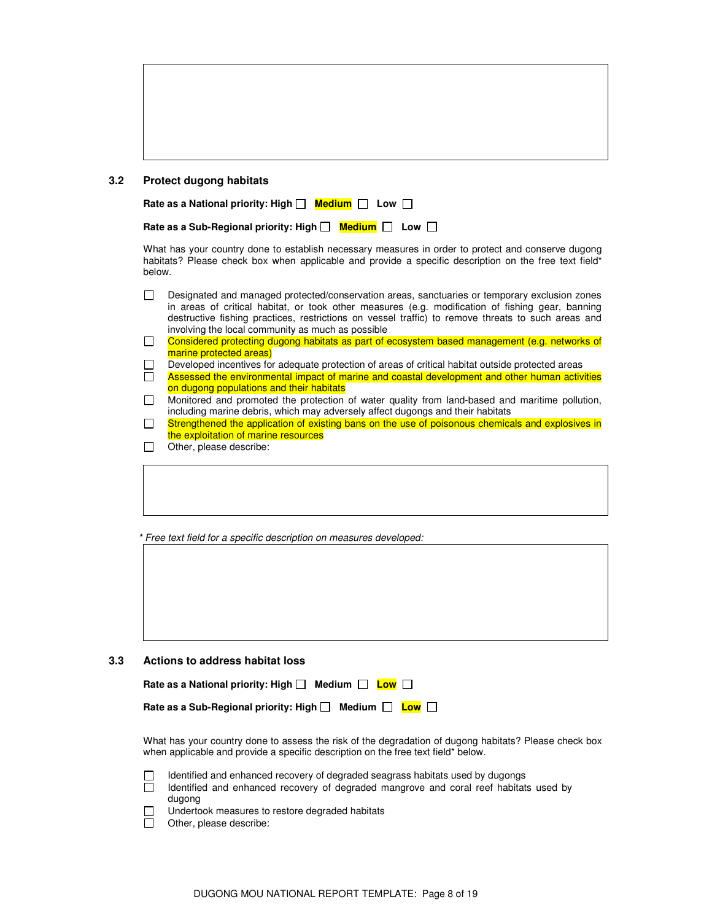#### **3.2 Protect dugong habitats**

| Rate as a Sub-Regional priority: High <b>D</b> Medium <b>D</b> Low D |  |  |
|----------------------------------------------------------------------|--|--|
|----------------------------------------------------------------------|--|--|

 What has your country done to establish necessary measures in order to protect and conserve dugong habitats? Please check box when applicable and provide a specific description on the free text field\* below.

|        | Designated and managed protected/conservation areas, sanctuaries or temporary exclusion zones<br>in areas of critical habitat, or took other measures (e.g. modification of fishing gear, banning<br>destructive fishing practices, restrictions on vessel traffic) to remove threats to such areas and<br>involving the local community as much as possible |
|--------|--------------------------------------------------------------------------------------------------------------------------------------------------------------------------------------------------------------------------------------------------------------------------------------------------------------------------------------------------------------|
| $\Box$ | Considered protecting dugong habitats as part of ecosystem based management (e.g. networks of                                                                                                                                                                                                                                                                |
|        | marine protected areas)                                                                                                                                                                                                                                                                                                                                      |
| $\Box$ | Developed incentives for adequate protection of areas of critical habitat outside protected areas                                                                                                                                                                                                                                                            |
| $\Box$ | Assessed the environmental impact of marine and coastal development and other human activities<br>on dugong populations and their habitats                                                                                                                                                                                                                   |
| $\Box$ | Monitored and promoted the protection of water quality from land-based and maritime pollution,<br>including marine debris, which may adversely affect dugongs and their habitats                                                                                                                                                                             |
| П      | Strengthened the application of existing bans on the use of poisonous chemicals and explosives in<br>the exploitation of marine resources                                                                                                                                                                                                                    |
|        | Other, please describe:                                                                                                                                                                                                                                                                                                                                      |
|        |                                                                                                                                                                                                                                                                                                                                                              |

\* Free text field for a specific description on measures developed:

#### **3.3 Actions to address habitat loss**

| Rate as a National priority: High $\Box$ Medium $\Box$ Low $\Box$     |  |  |
|-----------------------------------------------------------------------|--|--|
| Rate as a Sub-Regional priority: High $\Box$ Medium $\Box$ Low $\Box$ |  |  |

 What has your country done to assess the risk of the degradation of dugong habitats? Please check box when applicable and provide a specific description on the free text field\* below.



 $\Box$  Identified and enhanced recovery of degraded seagrass habitats used by dugongs Identified and enhanced recovery of degraded mangrove and coral reef habitats used by dugong

Undertook measures to restore degraded habitats

 $\Box$  Other, please describe: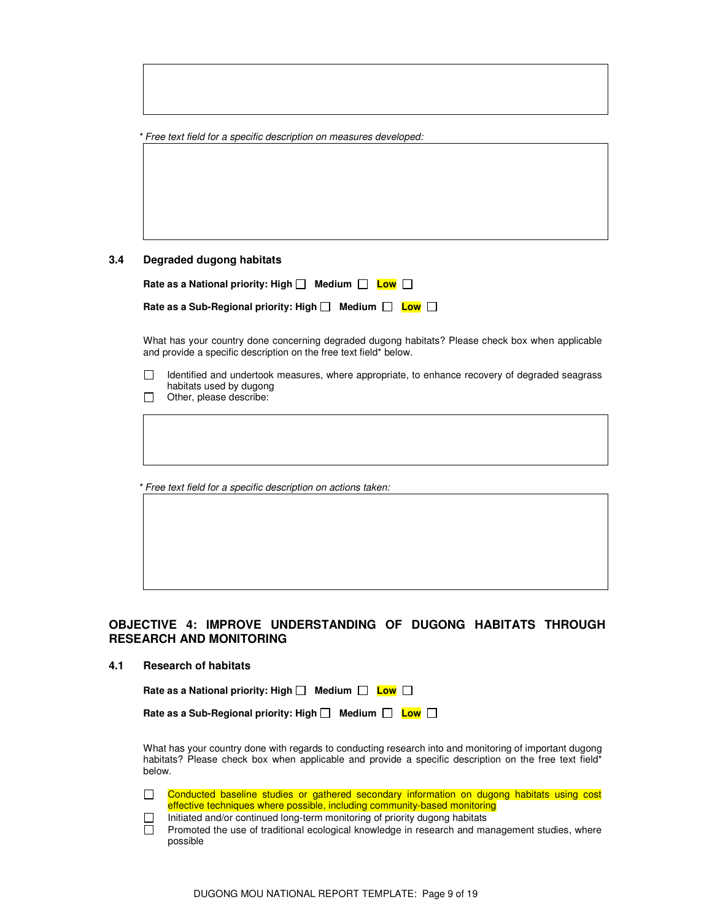| * Free text field for a specific description on measures developed: |  |
|---------------------------------------------------------------------|--|
|---------------------------------------------------------------------|--|

### **3.4 Degraded dugong habitats**

| Rate as a National priority: High $\Box$ Medium $\Box$ Low $\Box$     |  |
|-----------------------------------------------------------------------|--|
| Rate as a Sub-Regional priority: High $\Box$ Medium $\Box$ Low $\Box$ |  |

 What has your country done concerning degraded dugong habitats? Please check box when applicable and provide a specific description on the free text field\* below.

 $\Box$ Identified and undertook measures, where appropriate, to enhance recovery of degraded seagrass habitats used by dugong

 $\Box$  Other, please describe:

\* Free text field for a specific description on actions taken:

### **OBJECTIVE 4: IMPROVE UNDERSTANDING OF DUGONG HABITATS THROUGH RESEARCH AND MONITORING**

#### **4.1 Research of habitats**

| Rate as a National priority: High □ Medium □ Low □ |  |
|----------------------------------------------------|--|
|                                                    |  |

| Rate as a Sub-Regional priority: High $\Box$ Medium $\Box$ Low $\Box$ |  |  |  |  |
|-----------------------------------------------------------------------|--|--|--|--|
|-----------------------------------------------------------------------|--|--|--|--|

 What has your country done with regards to conducting research into and monitoring of important dugong habitats? Please check box when applicable and provide a specific description on the free text field\* below.

 $\Box$ Conducted baseline studies or gathered secondary information on dugong habitats using cost effective techniques where possible, including community-based monitoring

Initiated and/or continued long-term monitoring of priority dugong habitats

Promoted the use of traditional ecological knowledge in research and management studies, where possible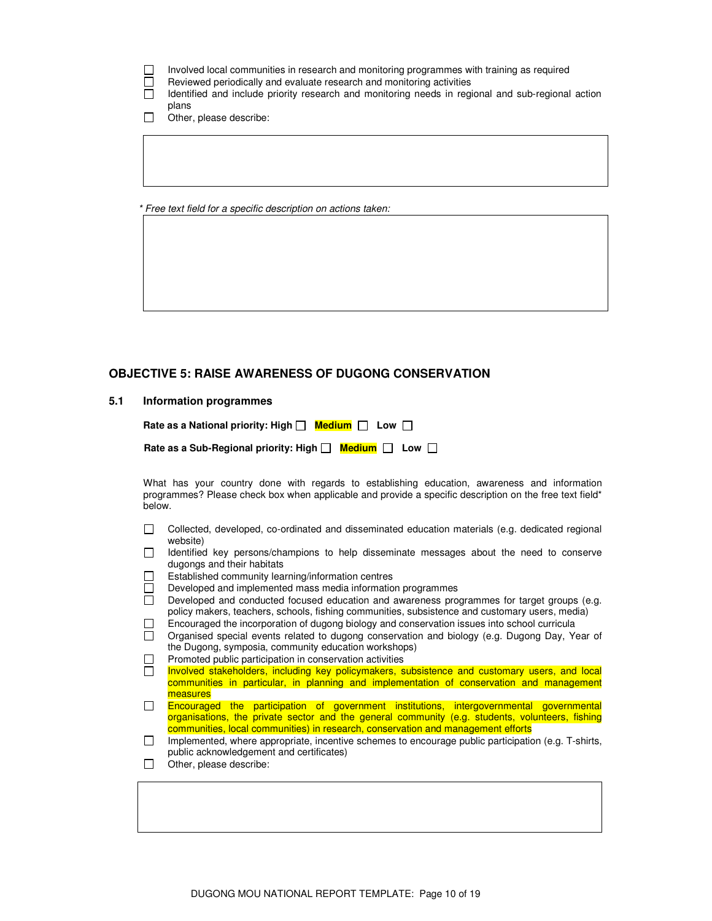|  | Involved local communities in research and monitoring programmes with training as required |  |  |  |
|--|--------------------------------------------------------------------------------------------|--|--|--|
|  |                                                                                            |  |  |  |

 $\Box$  Reviewed periodically and evaluate research and monitoring activities

 Identified and include priority research and monitoring needs in regional and sub-regional action plans

Other, please describe:

\* Free text field for a specific description on actions taken:

### **OBJECTIVE 5: RAISE AWARENESS OF DUGONG CONSERVATION**

#### **5.1 Information programmes**

| Rate as a National priority: High $\Box$ Medium $\Box$ Low $\Box$ |  |  |
|-------------------------------------------------------------------|--|--|
|-------------------------------------------------------------------|--|--|

| Rate as a Sub-Regional priority: High □ Medium □ Low □ |  |  |  |  |
|--------------------------------------------------------|--|--|--|--|
|--------------------------------------------------------|--|--|--|--|

 What has your country done with regards to establishing education, awareness and information programmes? Please check box when applicable and provide a specific description on the free text field\* below.

- Collected, developed, co-ordinated and disseminated education materials (e.g. dedicated regional website)
- $\Box$  Identified key persons/champions to help disseminate messages about the need to conserve dugongs and their habitats
- $\Box$  Established community learning/information centres
- $\Box$  Developed and implemented mass media information programmes
- $\Box$  Developed and conducted focused education and awareness programmes for target groups (e.g. policy makers, teachers, schools, fishing communities, subsistence and customary users, media)
- Encouraged the incorporation of dugong biology and conservation issues into school curricula
- $\Box$  Organised special events related to dugong conservation and biology (e.g. Dugong Day, Year of the Dugong, symposia, community education workshops)
- $\Box$  Promoted public participation in conservation activities
- $\Box$ Involved stakeholders, including key policymakers, subsistence and customary users, and local communities in particular, in planning and implementation of conservation and management measures
- $\Box$ Encouraged the participation of government institutions, intergovernmental governmental organisations, the private sector and the general community (e.g. students, volunteers, fishing communities, local communities) in research, conservation and management efforts
- $\Box$  Implemented, where appropriate, incentive schemes to encourage public participation (e.g. T-shirts, public acknowledgement and certificates)
- Other, please describe: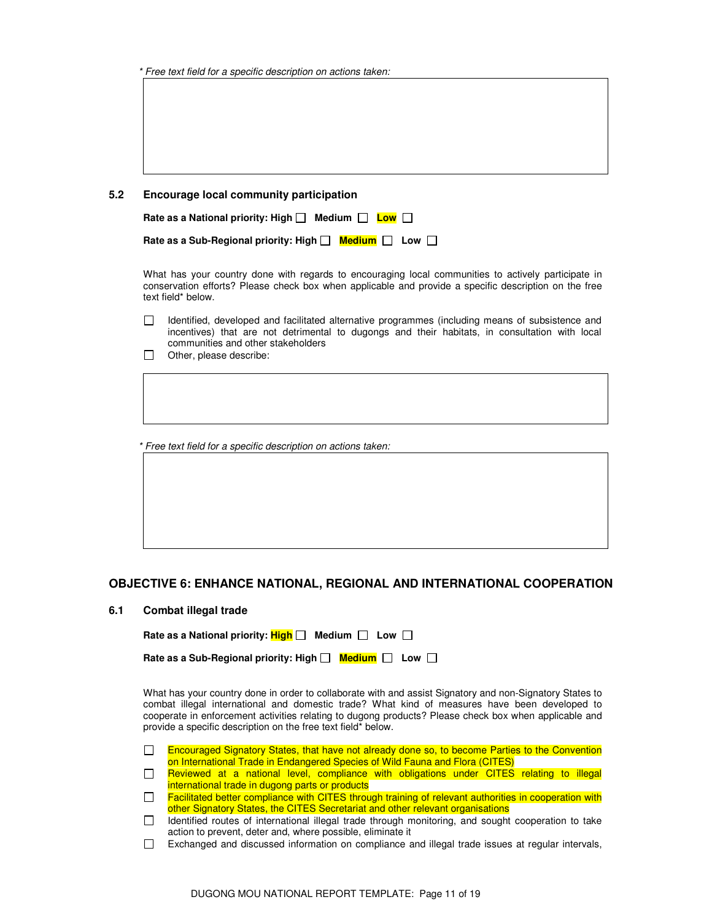| * Free text field for a specific description on actions taken: |  |  |  |
|----------------------------------------------------------------|--|--|--|
|----------------------------------------------------------------|--|--|--|

| 5.2 | <b>Encourage local community participation</b> |  |  |  |  |
|-----|------------------------------------------------|--|--|--|--|
|-----|------------------------------------------------|--|--|--|--|

| Rate as a National priority: High $\Box$ Medium $\Box$ Low $\Box$     |  |
|-----------------------------------------------------------------------|--|
| Rate as a Sub-Regional priority: High $\Box$ Medium $\Box$ Low $\Box$ |  |

 What has your country done with regards to encouraging local communities to actively participate in conservation efforts? Please check box when applicable and provide a specific description on the free text field\* below.

- Identified, developed and facilitated alternative programmes (including means of subsistence and incentives) that are not detrimental to dugongs and their habitats, in consultation with local communities and other stakeholders
- $\Box$  Other, please describe:

\* Free text field for a specific description on actions taken:

### **OBJECTIVE 6: ENHANCE NATIONAL, REGIONAL AND INTERNATIONAL COOPERATION**

#### **6.1 Combat illegal trade**

| Rate as a National priority: $\frac{\text{High}}{\text{Diff}}$ Medium $\Box$ Low $\Box$ |  |
|-----------------------------------------------------------------------------------------|--|
|                                                                                         |  |

| Rate as a Sub-Regional priority: High $\Box$ Medium $\Box$ Low $\Box$ |  |  |  |  |
|-----------------------------------------------------------------------|--|--|--|--|
|-----------------------------------------------------------------------|--|--|--|--|

 What has your country done in order to collaborate with and assist Signatory and non-Signatory States to combat illegal international and domestic trade? What kind of measures have been developed to cooperate in enforcement activities relating to dugong products? Please check box when applicable and provide a specific description on the free text field\* below.

- Encouraged Signatory States, that have not already done so, to become Parties to the Convention  $\Box$ on International Trade in Endangered Species of Wild Fauna and Flora (CITES)
- Reviewed at a national level, compliance with obligations under CITES relating to illegal  $\Box$ international trade in dugong parts or products
- Facilitated better compliance with CITES through training of relevant authorities in cooperation with  $\Box$ other Signatory States, the CITES Secretariat and other relevant organisations
- $\Box$  Identified routes of international illegal trade through monitoring, and sought cooperation to take action to prevent, deter and, where possible, eliminate it
- Exchanged and discussed information on compliance and illegal trade issues at regular intervals,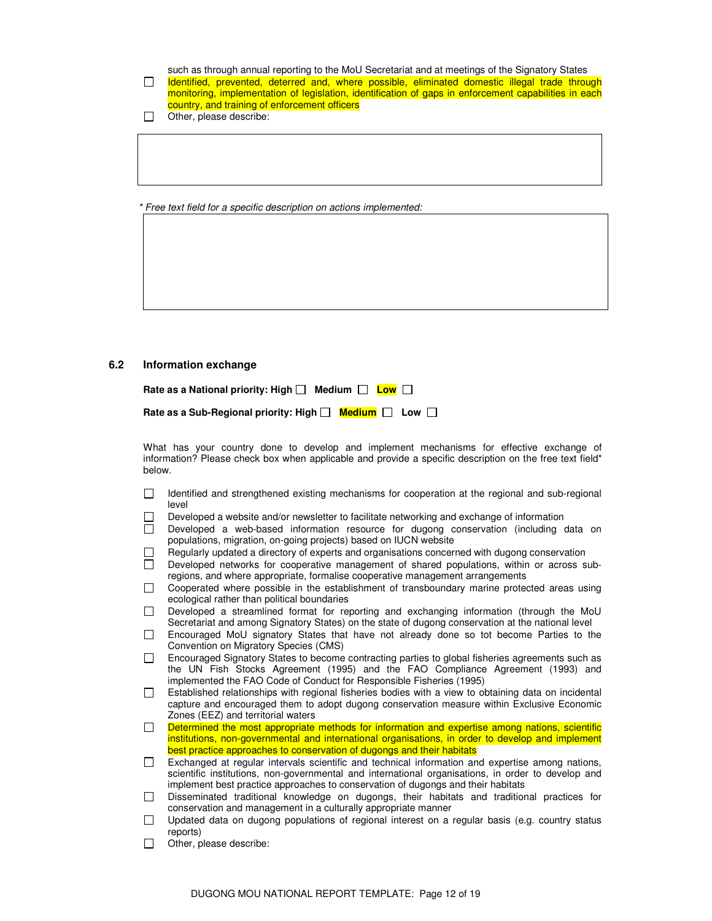such as through annual reporting to the MoU Secretariat and at meetings of the Signatory States Identified, prevented, deterred and, where possible, eliminated domestic illegal trade through  $\Box$ monitoring, implementation of legislation, identification of gaps in enforcement capabilities in each country, and training of enforcement officers

 $\Box$  Other, please describe:

\* Free text field for a specific description on actions implemented:

#### **6.2 Information exchange**

| Rate as a National priority: High $\Box$ Medium $\Box$ Low $\Box$ |  |
|-------------------------------------------------------------------|--|
|                                                                   |  |

| Rate as a Sub-Regional priority: High $\Box$ Medium $\Box$ Low $\Box$ |  |  |  |  |
|-----------------------------------------------------------------------|--|--|--|--|
|-----------------------------------------------------------------------|--|--|--|--|

 What has your country done to develop and implement mechanisms for effective exchange of information? Please check box when applicable and provide a specific description on the free text field\* below.

- $\Box$  Identified and strengthened existing mechanisms for cooperation at the regional and sub-regional level
- Developed a website and/or newsletter to facilitate networking and exchange of information
- Developed a web-based information resource for dugong conservation (including data on populations, migration, on-going projects) based on IUCN website
- $\Box$  Regularly updated a directory of experts and organisations concerned with dugong conservation
- Developed networks for cooperative management of shared populations, within or across subregions, and where appropriate, formalise cooperative management arrangements
- Cooperated where possible in the establishment of transboundary marine protected areas using ecological rather than political boundaries
- Developed a streamlined format for reporting and exchanging information (through the MoU Secretariat and among Signatory States) on the state of dugong conservation at the national level
- Encouraged MoU signatory States that have not already done so tot become Parties to the Convention on Migratory Species (CMS)
- Encouraged Signatory States to become contracting parties to global fisheries agreements such as the UN Fish Stocks Agreement (1995) and the FAO Compliance Agreement (1993) and implemented the FAO Code of Conduct for Responsible Fisheries (1995)
- Established relationships with regional fisheries bodies with a view to obtaining data on incidental capture and encouraged them to adopt dugong conservation measure within Exclusive Economic Zones (EEZ) and territorial waters
- $\Box$ Determined the most appropriate methods for information and expertise among nations, scientific institutions, non-governmental and international organisations, in order to develop and implement best practice approaches to conservation of dugongs and their habitats
- Exchanged at regular intervals scientific and technical information and expertise among nations, scientific institutions, non-governmental and international organisations, in order to develop and implement best practice approaches to conservation of dugongs and their habitats
- Disseminated traditional knowledge on dugongs, their habitats and traditional practices for conservation and management in a culturally appropriate manner
- $\Box$  Updated data on dugong populations of regional interest on a regular basis (e.g. country status reports)
- $\Box$  Other, please describe: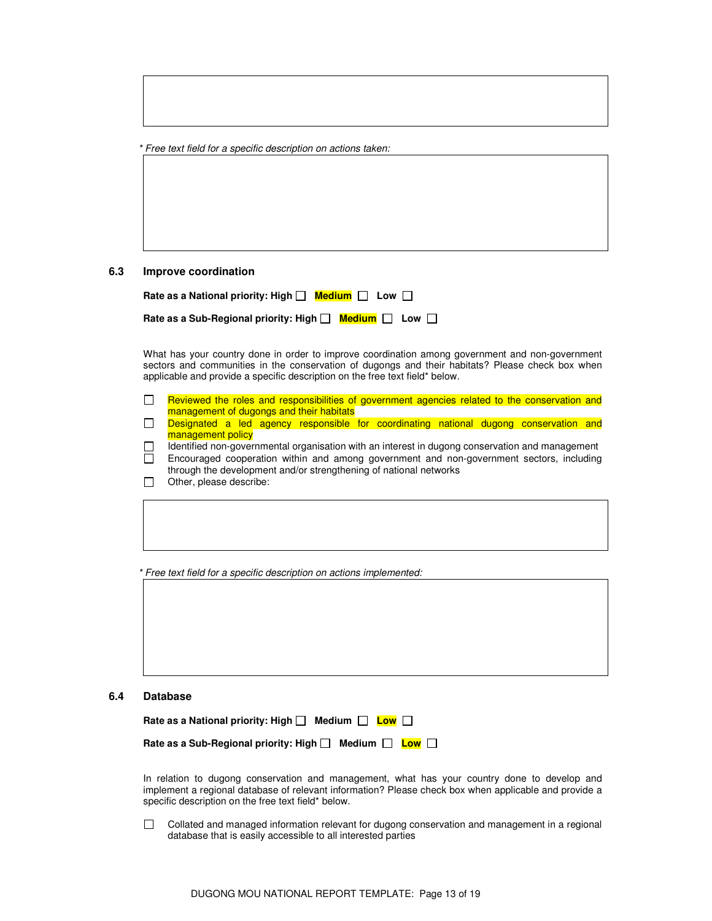\* Free text field for a specific description on actions taken:

#### **6.3 Improve coordination**

| Rate as a National priority: High $\Box$ Medium $\Box$ Low $\Box$     |  |
|-----------------------------------------------------------------------|--|
| Rate as a Sub-Regional priority: High $\Box$ Medium $\Box$ Low $\Box$ |  |

 What has your country done in order to improve coordination among government and non-government sectors and communities in the conservation of dugongs and their habitats? Please check box when applicable and provide a specific description on the free text field\* below.

- $\Box$ Reviewed the roles and responsibilities of government agencies related to the conservation and management of dugongs and their habitats
- $\Box$ Designated a led agency responsible for coordinating national dugong conservation and management policy

 Identified non-governmental organisation with an interest in dugong conservation and management Encouraged cooperation within and among government and non-government sectors, including through the development and/or strengthening of national networks

 $\Box$  Other, please describe:

\* Free text field for a specific description on actions implemented:

#### **6.4 Database**

| Rate as a National priority: High $\Box$ Medium $\Box$ Low $\Box$     |  |  |
|-----------------------------------------------------------------------|--|--|
| Rate as a Sub-Regional priority: High $\Box$ Medium $\Box$ Low $\Box$ |  |  |

 In relation to dugong conservation and management, what has your country done to develop and implement a regional database of relevant information? Please check box when applicable and provide a specific description on the free text field\* below.

 Collated and managed information relevant for dugong conservation and management in a regional database that is easily accessible to all interested parties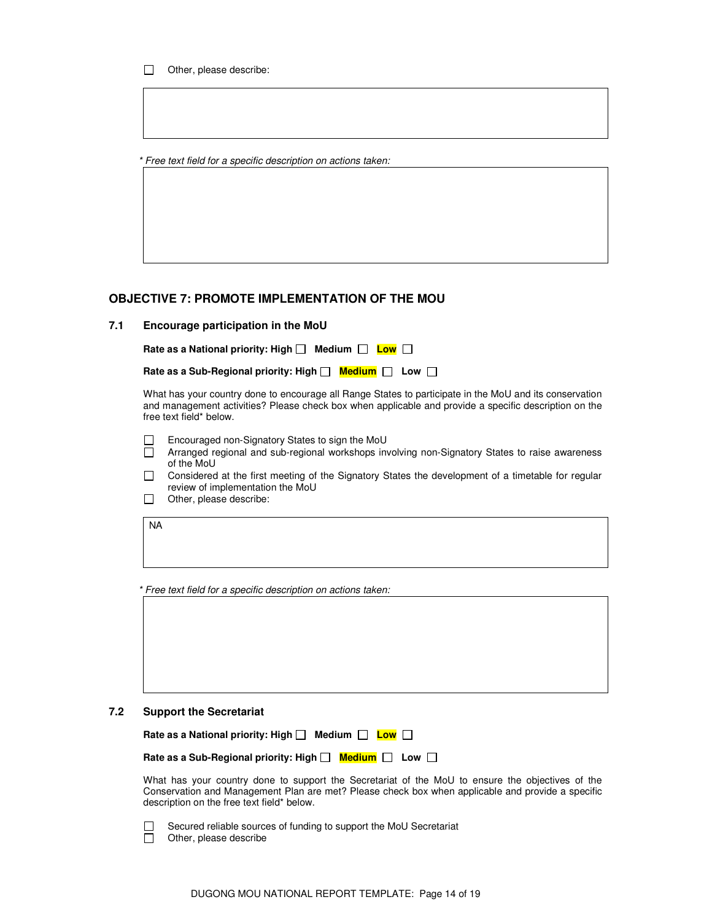Other, please describe:

\* Free text field for a specific description on actions taken:

### **OBJECTIVE 7: PROMOTE IMPLEMENTATION OF THE MOU**

### **7.1 Encourage participation in the MoU**

Rate as a National priority: High  $\Box$  Medium  $\Box$  Low  $\Box$ 

| Rate as a Sub-Regional priority: High $\Box$ Medium $\Box$ Low $\Box$ |  |  |
|-----------------------------------------------------------------------|--|--|
|-----------------------------------------------------------------------|--|--|

 What has your country done to encourage all Range States to participate in the MoU and its conservation and management activities? Please check box when applicable and provide a specific description on the free text field\* below.

- $\Box$  Encouraged non-Signatory States to sign the MoU  $\Box$  Arranged regional and sub-regional workshops in
- Arranged regional and sub-regional workshops involving non-Signatory States to raise awareness of the MoU
- Considered at the first meeting of the Signatory States the development of a timetable for regular review of implementation the MoU
- Other, please describe:

NA

\* Free text field for a specific description on actions taken:



### **7.2 Support the Secretariat**

| Rate as a National priority: High $\Box$ Medium $\Box$ Low $\Box$                                                                                                                                                                                   |
|-----------------------------------------------------------------------------------------------------------------------------------------------------------------------------------------------------------------------------------------------------|
| Rate as a Sub-Regional priority: High $\Box$ Medium $\Box$ Low $\Box$                                                                                                                                                                               |
| What has your country done to support the Secretariat of the MoU to ensure the objectives of the<br>Conservation and Management Plan are met? Please check box when applicable and provide a specific<br>description on the free text field* below. |

| Secured reliable sources of funding to support the MoU Secretariat |
|--------------------------------------------------------------------|
| Other, please describe                                             |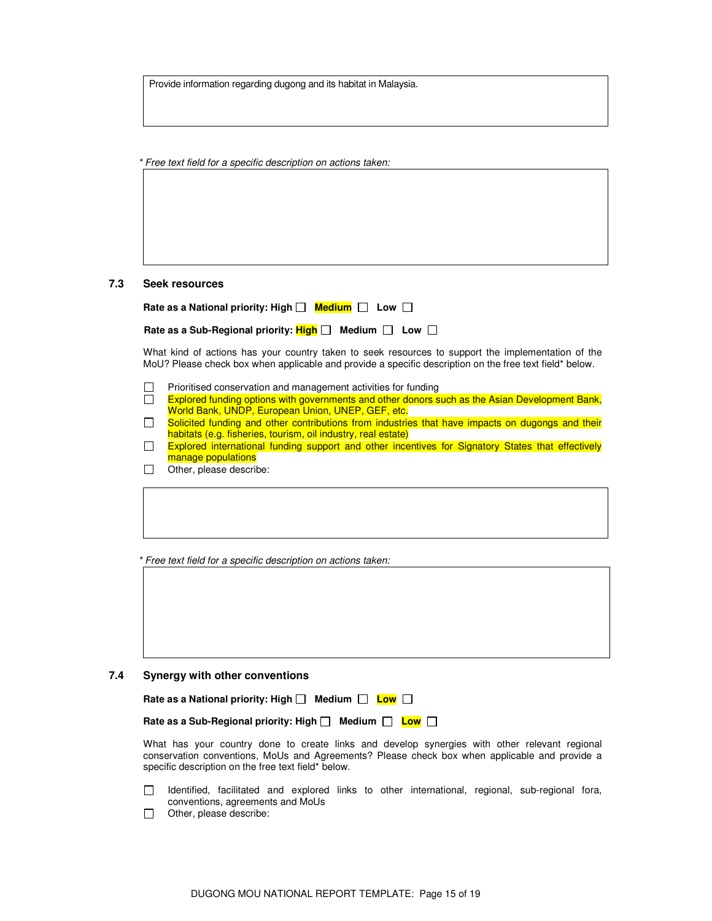Provide information regarding dugong and its habitat in Malaysia.

\* Free text field for a specific description on actions taken:

#### **7.3 Seek resources**

| Rate as a National priority: High $\Box$ Medium $\Box$ Low $\Box$ |  |  |
|-------------------------------------------------------------------|--|--|
|-------------------------------------------------------------------|--|--|

Rate as a Sub-Regional priority:  $\frac{\text{High}}{\text{high}}$  Medium  $\Box$  Low  $\Box$ 

 What kind of actions has your country taken to seek resources to support the implementation of the MoU? Please check box when applicable and provide a specific description on the free text field\* below.

- $\Box$  Prioritised conservation and management activities for funding
- $\Box$ Explored funding options with governments and other donors such as the Asian Development Bank, World Bank, UNDP, European Union, UNEP, GEF, etc.
- $\Box$ Solicited funding and other contributions from industries that have impacts on dugongs and their habitats (e.g. fisheries, tourism, oil industry, real estate)
- $\Box$ Explored international funding support and other incentives for Signatory States that effectively manage populations
- Other, please describe:

\* Free text field for a specific description on actions taken:

**7.4 Synergy with other conventions** 

| Medium $\Box$ Low $\Box$<br>Rate as a National priority: High $\Box$  |
|-----------------------------------------------------------------------|
| Rate as a Sub-Regional priority: High $\Box$ Medium $\Box$ Low $\Box$ |
|                                                                       |

 What has your country done to create links and develop synergies with other relevant regional conservation conventions, MoUs and Agreements? Please check box when applicable and provide a specific description on the free text field\* below.

- Identified, facilitated and explored links to other international, regional, sub-regional fora, conventions, agreements and MoUs
- $\Box$  Other, please describe: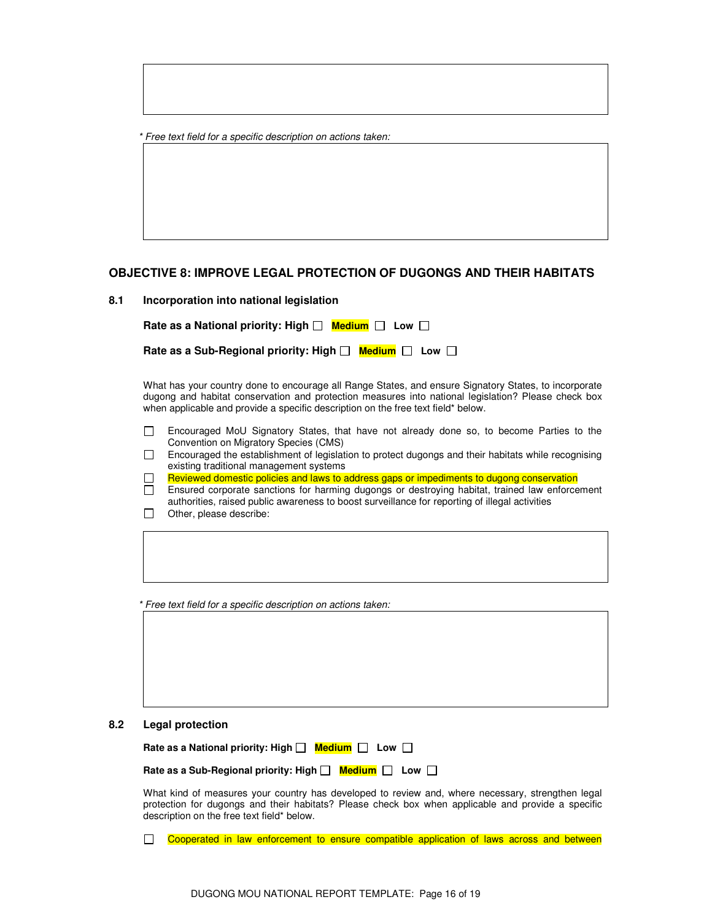|  | * Free text field for a specific description on actions taken: |  |
|--|----------------------------------------------------------------|--|
|--|----------------------------------------------------------------|--|

### **OBJECTIVE 8: IMPROVE LEGAL PROTECTION OF DUGONGS AND THEIR HABITATS**

| Incorporation into national legislation | 8.1 |  |  |  |  |  |
|-----------------------------------------|-----|--|--|--|--|--|
|-----------------------------------------|-----|--|--|--|--|--|

| Rate as a National priority: High $\Box$ Medium $\Box$ Low $\Box$     |  |
|-----------------------------------------------------------------------|--|
| Rate as a Sub-Regional priority: High $\Box$ Medium $\Box$ Low $\Box$ |  |

 What has your country done to encourage all Range States, and ensure Signatory States, to incorporate dugong and habitat conservation and protection measures into national legislation? Please check box when applicable and provide a specific description on the free text field\* below.

 Encouraged MoU Signatory States, that have not already done so, to become Parties to the Convention on Migratory Species (CMS)

| Encouraged the establishment of legislation to protect dugongs and their habitats while recognising |
|-----------------------------------------------------------------------------------------------------|
| existing traditional management systems                                                             |

 $\Box$ Reviewed domestic policies and laws to address gaps or impediments to dugong conservation

 Ensured corporate sanctions for harming dugongs or destroying habitat, trained law enforcement authorities, raised public awareness to boost surveillance for reporting of illegal activities

|        |  | .                       |  |
|--------|--|-------------------------|--|
| $\Box$ |  | Other, please describe: |  |

\* Free text field for a specific description on actions taken:

### **8.2 Legal protection**

| Rate as a National priority: High $\Box$ Medium $\Box$ Low $\Box$ |  |  |  |
|-------------------------------------------------------------------|--|--|--|
|-------------------------------------------------------------------|--|--|--|

**Rate as a Sub-Regional priority: High**  $\Box$  **Medium**  $\Box$  Low  $\Box$ 

 What kind of measures your country has developed to review and, where necessary, strengthen legal protection for dugongs and their habitats? Please check box when applicable and provide a specific description on the free text field\* below.

Cooperated in law enforcement to ensure compatible application of laws across and between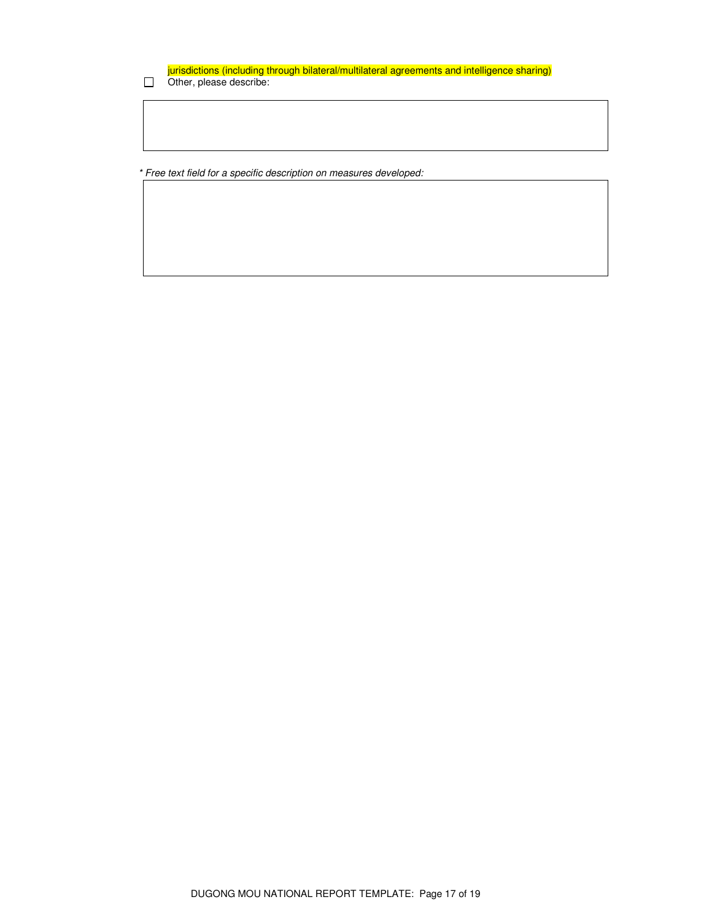jurisdictions (including through bilateral/multilateral agreements and intelligence sharing) Other, please describe:

\* Free text field for a specific description on measures developed: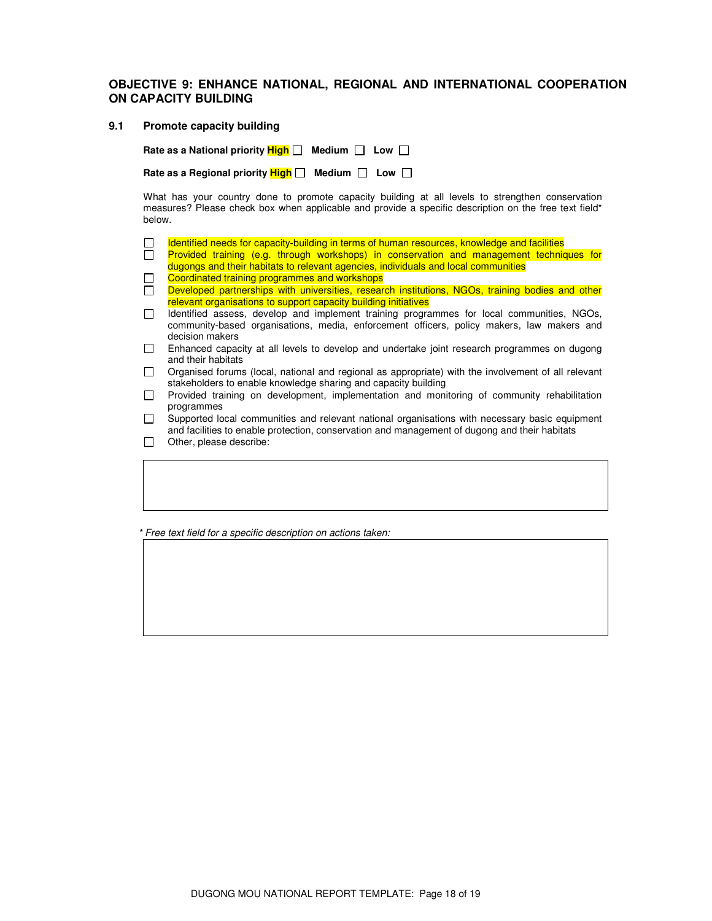### **OBJECTIVE 9: ENHANCE NATIONAL, REGIONAL AND INTERNATIONAL COOPERATION ON CAPACITY BUILDING**

#### **9.1 Promote capacity building**

**Rate as a National priority**  $\frac{\text{High}}{\text{High}}$  **Medium**  $\Box$  **Low**  $\Box$ 

Rate as a Regional priority  $\frac{\text{High}}{\text{high}}$  Medium  $\Box$  Low  $\Box$ 

 What has your country done to promote capacity building at all levels to strengthen conservation measures? Please check box when applicable and provide a specific description on the free text field\* below.

- Identified needs for capacity-building in terms of human resources, knowledge and facilities  $\Box$
- $\Box$ Provided training (e.g. through workshops) in conservation and management techniques for dugongs and their habitats to relevant agencies, individuals and local communities
- Coordinated training programmes and workshops  $\Box$
- Developed partnerships with universities, research institutions, NGOs, training bodies and other relevant organisations to support capacity building initiatives
- Identified assess, develop and implement training programmes for local communities, NGOs, community-based organisations, media, enforcement officers, policy makers, law makers and decision makers
- Enhanced capacity at all levels to develop and undertake joint research programmes on dugong and their habitats
- $\Box$  Organised forums (local, national and regional as appropriate) with the involvement of all relevant stakeholders to enable knowledge sharing and capacity building
- $\Box$  Provided training on development, implementation and monitoring of community rehabilitation programmes
- $\Box$  Supported local communities and relevant national organisations with necessary basic equipment and facilities to enable protection, conservation and management of dugong and their habitats
- $\Box$  Other, please describe:

\* Free text field for a specific description on actions taken: